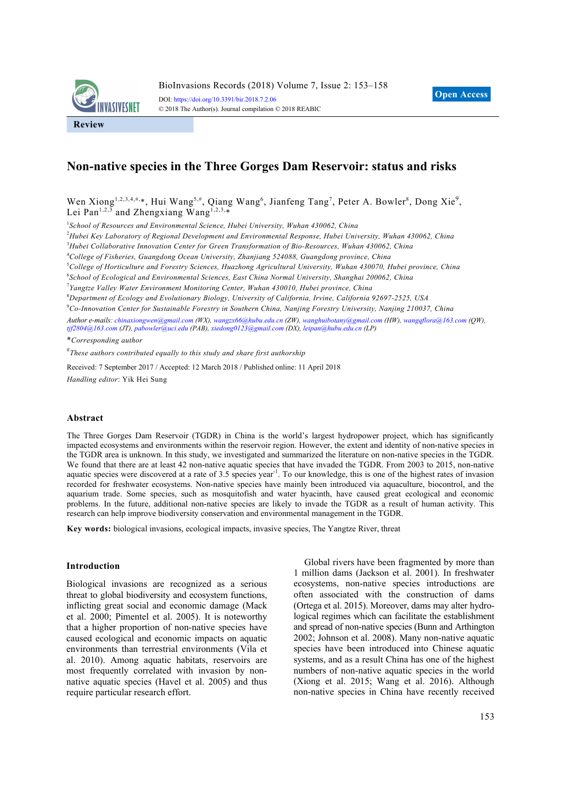

# **Non-native species in the Three Gorges Dam Reservoir: status and risks**

Wen Xiong<sup>1,2,3,4,#,\*</sup>, Hui Wang<sup>5,#</sup>, Qiang Wang<sup>6</sup>, Jianfeng Tang<sup>7</sup>, Peter A. Bowler<sup>8</sup>, Dong Xie<sup>9</sup>, Lei Pan<sup>1,2,3</sup> and Zhengxiang Wang<sup>1,2,3,\*</sup>

<sup>1</sup> School of Resources and Environmental Science, Hubei University, Wuhan 430062, China

2 *Hubei Key Laboratory of Regional Development and Environmental Response, Hubei University, Wuhan 430062, China* 

3 *Hubei Collaborative Innovation Center for Green Transformation of Bio-Resources, Wuhan 430062, China* 

4 *College of Fisheries, Guangdong Ocean University, Zhanjiang 524088, Guangdong province, China* 

5 *College of Horticulture and Forestry Sciences, Huazhong Agricultural University, Wuhan 430070, Hubei province, China* 

6 *School of Ecological and Environmental Sciences, East China Normal University, Shanghai 200062, China* 

7 *Yangtze Valley Water Environment Monitoring Center, Wuhan 430010, Hubei province, China* 

8 *Department of Ecology and Evolutionary Biology, University of California, Irvine, California 92697-2525, USA* 

9 *Co-Innovation Center for Sustainable Forestry in Southern China, Nanjing Forestry University, Nanjing 210037, China* 

*Author e-mails: chinaxiongwen@gmail.com (WX), wangzx66@hubu.edu.cn (ZW), wanghuibotany@gmail.com (HW), wangqflora@163.com (QW), tjf2804@163.com (JT), pabowler@uci.edu (PAB), xiedong0123@gmail.com (DX), leipan@hubu.edu.cn (LP)* 

\**Corresponding author*

# *These authors contributed equally to this study and share first authorship* 

Received: 7 September 2017 / Accepted: 12 March 2018 / Published online: 11 April 2018 *Handling editor*: Yik Hei Sung

#### **Abstract**

The Three Gorges Dam Reservoir (TGDR) in China is the world's largest hydropower project, which has significantly impacted ecosystems and environments within the reservoir region. However, the extent and identity of non-native species in the TGDR area is unknown. In this study, we investigated and summarized the literature on non-native species in the TGDR. We found that there are at least 42 non-native aquatic species that have invaded the TGDR. From 2003 to 2015, non-native aquatic species were discovered at a rate of 3.5 species year<sup>-1</sup>. To our knowledge, this is one of the highest rates of invasion recorded for freshwater ecosystems. Non-native species have mainly been introduced via aquaculture, biocontrol, and the aquarium trade. Some species, such as mosquitofish and water hyacinth, have caused great ecological and economic problems. In the future, additional non-native species are likely to invade the TGDR as a result of human activity. This research can help improve biodiversity conservation and environmental management in the TGDR.

**Key words:** biological invasions, ecological impacts, invasive species, The Yangtze River, threat

#### **Introduction**

Biological invasions are recognized as a serious threat to global biodiversity and ecosystem functions, inflicting great social and economic damage (Mack et al. 2000; Pimentel et al. 2005). It is noteworthy that a higher proportion of non-native species have caused ecological and economic impacts on aquatic environments than terrestrial environments (Vila et al. 2010). Among aquatic habitats, reservoirs are most frequently correlated with invasion by nonnative aquatic species (Havel et al. 2005) and thus require particular research effort.

Global rivers have been fragmented by more than 1 million dams (Jackson et al. 2001). In freshwater ecosystems, non-native species introductions are often associated with the construction of dams (Ortega et al. 2015). Moreover, dams may alter hydrological regimes which can facilitate the establishment and spread of non-native species (Bunn and Arthington 2002; Johnson et al. 2008). Many non-native aquatic species have been introduced into Chinese aquatic systems, and as a result China has one of the highest numbers of non-native aquatic species in the world (Xiong et al. 2015; Wang et al. 2016). Although non-native species in China have recently received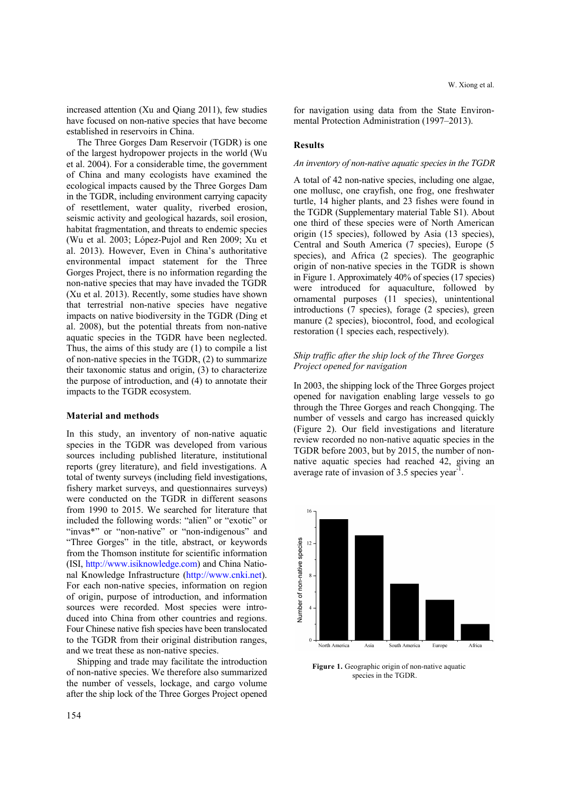increased attention (Xu and Qiang 2011), few studies have focused on non-native species that have become established in reservoirs in China.

The Three Gorges Dam Reservoir (TGDR) is one of the largest hydropower projects in the world (Wu et al. 2004). For a considerable time, the government of China and many ecologists have examined the ecological impacts caused by the Three Gorges Dam in the TGDR, including environment carrying capacity of resettlement, water quality, riverbed erosion, seismic activity and geological hazards, soil erosion, habitat fragmentation, and threats to endemic species (Wu et al. 2003; López-Pujol and Ren 2009; Xu et al. 2013). However, Even in China's authoritative environmental impact statement for the Three Gorges Project, there is no information regarding the non-native species that may have invaded the TGDR (Xu et al. 2013). Recently, some studies have shown that terrestrial non-native species have negative impacts on native biodiversity in the TGDR (Ding et al. 2008), but the potential threats from non-native aquatic species in the TGDR have been neglected. Thus, the aims of this study are (1) to compile a list of non-native species in the TGDR, (2) to summarize their taxonomic status and origin, (3) to characterize the purpose of introduction, and (4) to annotate their impacts to the TGDR ecosystem.

### **Material and methods**

In this study, an inventory of non-native aquatic species in the TGDR was developed from various sources including published literature, institutional reports (grey literature), and field investigations. A total of twenty surveys (including field investigations, fishery market surveys, and questionnaires surveys) were conducted on the TGDR in different seasons from 1990 to 2015. We searched for literature that included the following words: "alien" or "exotic" or "invas\*" or "non-native" or "non-indigenous" and "Three Gorges" in the title, abstract, or keywords from the Thomson institute for scientific information (ISI, http://www.isiknowledge.com) and China National Knowledge Infrastructure (http://www.cnki.net). For each non-native species, information on region of origin, purpose of introduction, and information sources were recorded. Most species were introduced into China from other countries and regions. Four Chinese native fish species have been translocated to the TGDR from their original distribution ranges, and we treat these as non-native species.

Shipping and trade may facilitate the introduction of non-native species. We therefore also summarized the number of vessels, lockage, and cargo volume after the ship lock of the Three Gorges Project opened for navigation using data from the State Environmental Protection Administration (1997–2013).

### **Results**

### *An inventory of non-native aquatic species in the TGDR*

A total of 42 non-native species, including one algae, one mollusc, one crayfish, one frog, one freshwater turtle, 14 higher plants, and 23 fishes were found in the TGDR (Supplementary material Table S1). About one third of these species were of North American origin (15 species), followed by Asia (13 species), Central and South America (7 species), Europe (5 species), and Africa (2 species). The geographic origin of non-native species in the TGDR is shown in Figure 1. Approximately 40% of species (17 species) were introduced for aquaculture, followed by ornamental purposes (11 species), unintentional introductions (7 species), forage (2 species), green manure (2 species), biocontrol, food, and ecological restoration (1 species each, respectively).

### *Ship traffic after the ship lock of the Three Gorges Project opened for navigation*

In 2003, the shipping lock of the Three Gorges project opened for navigation enabling large vessels to go through the Three Gorges and reach Chongqing. The number of vessels and cargo has increased quickly (Figure 2). Our field investigations and literature review recorded no non-native aquatic species in the TGDR before 2003, but by 2015, the number of nonnative aquatic species had reached 42, giving an average rate of invasion of 3.5 species year<sup>-1</sup>.



Figure 1. Geographic origin of non-native aquatic species in the TGDR.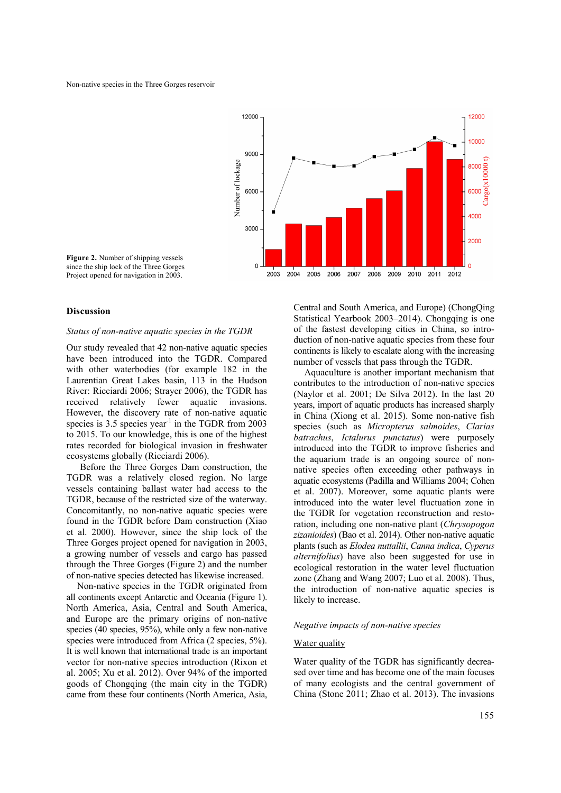

**Figure 2.** Number of shipping vessels since the ship lock of the Three Gorges Project opened for navigation in 2003.

### **Discussion**

#### *Status of non-native aquatic species in the TGDR*

Our study revealed that 42 non-native aquatic species have been introduced into the TGDR. Compared with other waterbodies (for example 182 in the Laurentian Great Lakes basin, 113 in the Hudson River: Ricciardi 2006; Strayer 2006), the TGDR has received relatively fewer aquatic invasions. However, the discovery rate of non-native aquatic species is  $3.5$  species year<sup>-1</sup> in the TGDR from 2003 to 2015. To our knowledge, this is one of the highest rates recorded for biological invasion in freshwater ecosystems globally (Ricciardi 2006).

Before the Three Gorges Dam construction, the TGDR was a relatively closed region. No large vessels containing ballast water had access to the TGDR, because of the restricted size of the waterway. Concomitantly, no non-native aquatic species were found in the TGDR before Dam construction (Xiao et al. 2000). However, since the ship lock of the Three Gorges project opened for navigation in 2003, a growing number of vessels and cargo has passed through the Three Gorges (Figure 2) and the number of non-native species detected has likewise increased.

Non-native species in the TGDR originated from all continents except Antarctic and Oceania (Figure 1). North America, Asia, Central and South America, and Europe are the primary origins of non-native species (40 species, 95%), while only a few non-native species were introduced from Africa (2 species, 5%). It is well known that international trade is an important vector for non-native species introduction (Rixon et al. 2005; Xu et al. 2012). Over 94% of the imported goods of Chongqing (the main city in the TGDR) came from these four continents (North America, Asia, Central and South America, and Europe) (ChongQing Statistical Yearbook 2003–2014). Chongqing is one of the fastest developing cities in China, so introduction of non-native aquatic species from these four continents is likely to escalate along with the increasing number of vessels that pass through the TGDR.

Aquaculture is another important mechanism that contributes to the introduction of non-native species (Naylor et al. 2001; De Silva 2012). In the last 20 years, import of aquatic products has increased sharply in China (Xiong et al. 2015). Some non-native fish species (such as *Micropterus salmoides*, *Clarias batrachus*, *Ictalurus punctatus*) were purposely introduced into the TGDR to improve fisheries and the aquarium trade is an ongoing source of nonnative species often exceeding other pathways in aquatic ecosystems (Padilla and Williams 2004; Cohen et al. 2007). Moreover, some aquatic plants were introduced into the water level fluctuation zone in the TGDR for vegetation reconstruction and restoration, including one non-native plant (*Chrysopogon zizanioides*) (Bao et al. 2014). Other non-native aquatic plants (such as *Elodea nuttallii*, *Canna indica*, *Cyperus alternifolius*) have also been suggested for use in ecological restoration in the water level fluctuation zone (Zhang and Wang 2007; Luo et al. 2008). Thus, the introduction of non-native aquatic species is likely to increase.

### *Negative impacts of non-native species*

### Water quality

Water quality of the TGDR has significantly decreased over time and has become one of the main focuses of many ecologists and the central government of China (Stone 2011; Zhao et al. 2013). The invasions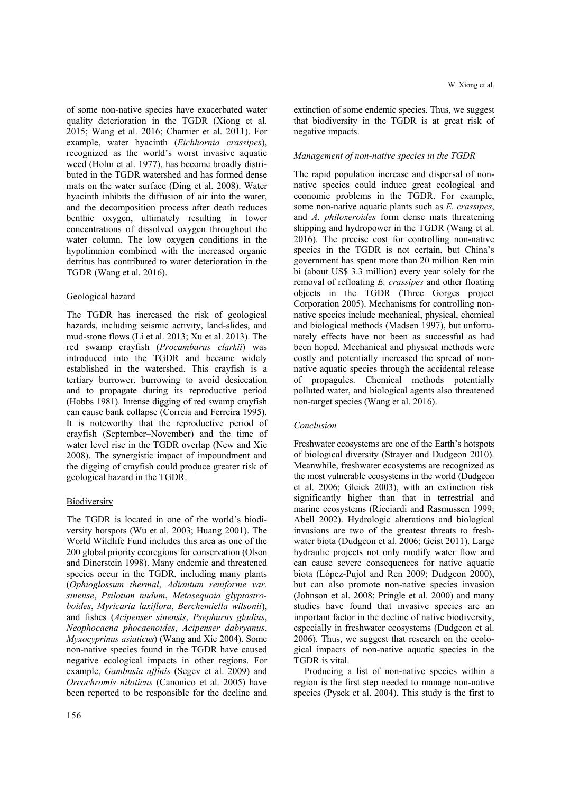of some non-native species have exacerbated water quality deterioration in the TGDR (Xiong et al. 2015; Wang et al. 2016; Chamier et al. 2011). For example, water hyacinth (*Eichhornia crassipes*), recognized as the world's worst invasive aquatic weed (Holm et al. 1977), has become broadly distributed in the TGDR watershed and has formed dense mats on the water surface (Ding et al. 2008). Water hyacinth inhibits the diffusion of air into the water, and the decomposition process after death reduces benthic oxygen, ultimately resulting in lower concentrations of dissolved oxygen throughout the water column. The low oxygen conditions in the hypolimnion combined with the increased organic detritus has contributed to water deterioration in the TGDR (Wang et al. 2016).

## Geological hazard

The TGDR has increased the risk of geological hazards, including seismic activity, land-slides, and mud-stone flows (Li et al. 2013; Xu et al. 2013). The red swamp crayfish (*Procambarus clarkii*) was introduced into the TGDR and became widely established in the watershed. This crayfish is a tertiary burrower, burrowing to avoid desiccation and to propagate during its reproductive period (Hobbs 1981). Intense digging of red swamp crayfish can cause bank collapse (Correia and Ferreira 1995). It is noteworthy that the reproductive period of crayfish (September–November) and the time of water level rise in the TGDR overlap (New and Xie 2008). The synergistic impact of impoundment and the digging of crayfish could produce greater risk of geological hazard in the TGDR.

## Biodiversity

The TGDR is located in one of the world's biodiversity hotspots (Wu et al. 2003; Huang 2001). The World Wildlife Fund includes this area as one of the 200 global priority ecoregions for conservation (Olson and Dinerstein 1998). Many endemic and threatened species occur in the TGDR, including many plants (*Ophioglossum thermal*, *Adiantum reniforme var. sinense*, *Psilotum nudum*, *Metasequoia glyptostroboides*, *Myricaria laxiflora*, *Berchemiella wilsonii*), and fishes (*Acipenser sinensis*, *Psephurus gladius*, *Neophocaena phocaenoides*, *Acipenser dabryanus*, *Myxocyprinus asiaticus*) (Wang and Xie 2004). Some non-native species found in the TGDR have caused negative ecological impacts in other regions. For example, *Gambusia affinis* (Segev et al. 2009) and *Oreochromis niloticus* (Canonico et al. 2005) have been reported to be responsible for the decline and

156

extinction of some endemic species. Thus, we suggest that biodiversity in the TGDR is at great risk of negative impacts.

## *Management of non-native species in the TGDR*

The rapid population increase and dispersal of nonnative species could induce great ecological and economic problems in the TGDR. For example, some non-native aquatic plants such as *E. crassipes*, and *A. philoxeroides* form dense mats threatening shipping and hydropower in the TGDR (Wang et al. 2016). The precise cost for controlling non-native species in the TGDR is not certain, but China's government has spent more than 20 million Ren min bi (about US\$ 3.3 million) every year solely for the removal of refloating *E. crassipes* and other floating objects in the TGDR (Three Gorges project Corporation 2005). Mechanisms for controlling nonnative species include mechanical, physical, chemical and biological methods (Madsen 1997), but unfortunately effects have not been as successful as had been hoped. Mechanical and physical methods were costly and potentially increased the spread of nonnative aquatic species through the accidental release of propagules. Chemical methods potentially polluted water, and biological agents also threatened non-target species (Wang et al. 2016).

## *Conclusion*

Freshwater ecosystems are one of the Earth's hotspots of biological diversity (Strayer and Dudgeon 2010). Meanwhile, freshwater ecosystems are recognized as the most vulnerable ecosystems in the world (Dudgeon et al. 2006; Gleick 2003), with an extinction risk significantly higher than that in terrestrial and marine ecosystems (Ricciardi and Rasmussen 1999; Abell 2002). Hydrologic alterations and biological invasions are two of the greatest threats to freshwater biota (Dudgeon et al. 2006; Geist 2011). Large hydraulic projects not only modify water flow and can cause severe consequences for native aquatic biota (López-Pujol and Ren 2009; Dudgeon 2000), but can also promote non-native species invasion (Johnson et al. 2008; Pringle et al. 2000) and many studies have found that invasive species are an important factor in the decline of native biodiversity, especially in freshwater ecosystems (Dudgeon et al. 2006). Thus, we suggest that research on the ecological impacts of non-native aquatic species in the TGDR is vital.

Producing a list of non-native species within a region is the first step needed to manage non-native species (Pysek et al. 2004). This study is the first to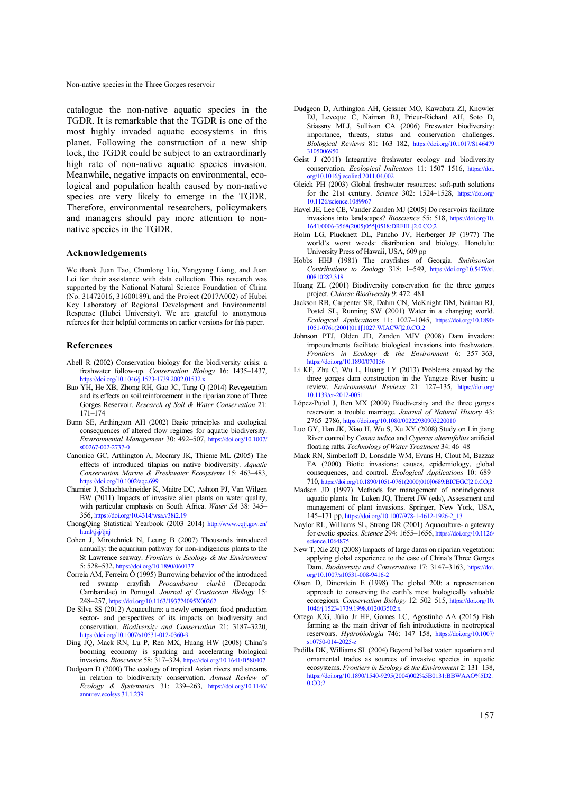catalogue the non-native aquatic species in the TGDR. It is remarkable that the TGDR is one of the most highly invaded aquatic ecosystems in this planet. Following the construction of a new ship lock, the TGDR could be subject to an extraordinarly high rate of non-native aquatic species invasion. Meanwhile, negative impacts on environmental, ecological and population health caused by non-native species are very likely to emerge in the TGDR. Therefore, environmental researchers, policymakers and managers should pay more attention to nonnative species in the TGDR.

#### **Acknowledgements**

We thank Juan Tao, Chunlong Liu, Yangyang Liang, and Juan Lei for their assistance with data collection. This research was supported by the National Natural Science Foundation of China (No. 31472016, 31600189), and the Project (2017A002) of Hubei Key Laboratory of Regional Development and Environmental Response (Hubei University). We are grateful to anonymous referees for their helpful comments on earlier versions for this paper.

#### **References**

- Abell R (2002) Conservation biology for the biodiversity crisis: a freshwater follow-up. *Conservation Biology* 16: 1435–1437, https://doi.org/10.1046/j.1523-1739.2002.01532.x
- Bao YH, He XB, Zhong RH, Gao JC, Tang Q (2014) Revegetation and its effects on soil reinforcement in the riparian zone of Three Gorges Reservoir. *Research of Soil & Water Conservation* 21: 171–174
- Bunn SE, Arthington AH (2002) Basic principles and ecological consequences of altered flow regimes for aquatic biodiversity. *Environmental Management* [30: 492–507, https://doi.org/10.1007/](https://doi.org/10.1007/s00267-002-2737-0)  s00267-002-2737-0
- Canonico GC, Arthington A, Mccrary JK, Thieme ML (2005) The effects of introduced tilapias on native biodiversity. *Aquatic Conservation Marine & Freshwater Ecosystems* 15: 463–483, https://doi.org/10.1002/aqc.699
- Chamier J, Schachtschneider K, Maitre DC, Ashton PJ, Van Wilgen BW (2011) Impacts of invasive alien plants on water quality, with particular emphasis on South Africa. *Water SA* 38: 345– 356, https://doi.org/10.4314/wsa.v38i2.19
- Cho[ngQing Statistical Yearbook \(2003–2014\) http://www.cqtj.gov.cn/](http://www.cqtj.gov.cn/html/tjsj/tjnj)  html/tjsj/tjnj
- Cohen J, Mirotchnick N, Leung B (2007) Thousands introduced annually: the aquarium pathway for non-indigenous plants to the St Lawrence seaway. *Frontiers in Ecology & the Environment* 5: 528–532, https://doi.org/10.1890/060137
- Correia AM, Ferreira Ó (1995) Burrowing behavior of the introduced red swamp crayfish *Procambarus clarkii* (Decapoda: Cambaridae) in Portugal. *Journal of Crustacean Biology* 15: 248–257, https://doi.org/10.1163/193724095X00262
- De Silva SS (2012) Aquaculture: a newly emergent food production sector- and perspectives of its impacts on biodiversity and conservation. *Biodiversity and Conservation* 21: 3187–3220, https://doi.org/10.1007/s10531-012-0360-9
- Ding JQ, Mack RN, Lu P, Ren MX, Huang HW (2008) China's booming economy is sparking and accelerating biological invasions. *Bioscience* 58: 317–324, https://doi.org/10.1641/B580407
- Dudgeon D (2000) The ecology of tropical Asian rivers and streams in relation to biodiversity conservation. *Annual Review of Ecology & Systematics* [31: 239–263, https://doi.org/10.1146/](https://doi.org/10.1146/annurev.ecolsys.31.1.239)  annurev.ecolsys.31.1.239
- Dudgeon D, Arthington AH, Gessner MO, Kawabata ZI, Knowler DJ, Leveque C, Naiman RJ, Prieur-Richard AH, Soto D, Stiassny MLJ, Sullivan CA (2006) Freswater biodiversity: importance, threats, status and conservation challenges. *Biological Reviews* [81: 163–182, https://doi.org/10.1017/S146479](https://doi.org/10.1017/S1464793105006950)  3105006950
- Geist J (2011) Integrative freshwater ecology and biodiversity conservation. *Ecological Indicators* [11: 1507–1516, https://doi.](https://doi.org/10.1016/j.ecolind.2011.04.002)  org/10.1016/j.ecolind.2011.04.002
- Gleick PH (2003) Global freshwater resources: soft-path solutions for the 21st century. *Science* [302: 1524–1528, https://doi.org/](https://doi.org/10.1126/science.1089967)  10.1126/science.1089967
- Havel JE, Lee CE, Vander Zanden MJ (2005) Do reservoirs facilitate invasions into landscapes? *Bioscience* 55: 518, https://doi.org/10. [1641/0006-3568\(2005\)055\[0518:DRFIIL\]2.0.CO;2](https://doi.org/10.1641/0006-3568(2005)055[0518:DRFIIL]2.0.CO;2)
- Holm LG, Plucknett DL, Pancho JV, Herberger JP (1977) The world's worst weeds: distribution and biology. Honolulu: University Press of Hawaii, USA, 609 pp
- Hobbs HHJ (1981) The crayfishes of Georgia. *Smithsonian Contributions to Zoology* [318: 1–549, https://doi.org/10.5479/si.](https://doi.org/10.5479/si.00810282.318)  00810282.318
- Huang ZL (2001) Biodiversity conservation for the three gorges project. *Chinese Biodiversity* 9: 472–481
- Jackson RB, Carpenter SR, Dahm CN, McKnight DM, Naiman RJ, Postel SL, Running SW (2001) Water in a changing world. *Ecological Applications* [11: 1027–1045, https://doi.org/10.1890/](https://doi.org/10.1890/1051-0761(2001)011[1027:WIACW]2.0.CO;2)  1051-0761(2001)011[1027:WIACW]2.0.CO;2
- Johnson PTJ, Olden JD, Zanden MJV (2008) Dam invaders: impoundments facilitate biological invasions into freshwaters. *Frontiers in Ecology & the Environment* 6: 357–363, https://doi.org/10.1890/070156
- Li KF, Zhu C, Wu L, Huang LY (2013) Problems caused by the three gorges dam construction in the Yangtze River basin: a review. *Environmental Reviews* [21: 127–135, https://doi.org/](https://doi.org/10.1139/er-2012-0051)  10.1139/er-2012-0051
- López-Pujol J, Ren MX (2009) Biodiversity and the three gorges reservoir: a trouble marriage. *Journal of Natural History* 43: 2765–2786, https://doi.org/10.1080/00222930903220010
- Luo GY, Han JK, Xiao H, Wu S, Xu XY (2008) Study on Lin jiang River control by *Canna indica* and *Cyperus alternifolius* artificial floating rafts. *Technology of Water Treatment* 34: 46–48
- Mack RN, Simberloff D, Lonsdale WM, Evans H, Clout M, Bazzaz FA (2000) Biotic invasions: causes, epidemiology, global consequences, and control. *Ecological Applications* 10: 689– 710, [https://doi.org/10.1890/1051-0761\(2000\)010\[0689:BICEGC\]2.0.CO;2](https://doi.org/10.1890/1051-0761(2000)010[0689:BICEGC]2.0.CO;2)
- Madsen JD (1997) Methods for management of nonindigenous aquatic plants. In: Luken JQ, Thieret JW (eds), Assessment and management of plant invasions. Springer, New York, USA, 145–171 pp, https://doi.org/10.1007/978-1-4612-1926-2\_13
- Naylor RL, Williams SL, Strong DR (2001) Aquaculture- a gateway for exotic species. *Science* [294: 1655–1656, https://doi.org/10.1126/](https://doi.org/10.1126/science.1064875)  science.1064875
- New T, Xie ZQ (2008) Impacts of large dams on riparian vegetation: applying global experience to the case of China's Three Gorges Dam. *[Biodiversity and Conservation](https://doi.org/10.1007/s10531-008-9416-2)* 17: 3147–3163, https://doi. org/10.1007/s10531-008-9416-2
- Olson D, Dinerstein E (1998) The global 200: a representation approach to conserving the earth's most biologically valuable ecoregions. *Conservation Biology* [12: 502–515, https://doi.org/10.](https://doi.org/10.1046/j.1523-1739.1998.012003502.x)  1046/j.1523-1739.1998.012003502.x
- Ortega JCG, Júlio Jr HF, Gomes LC, Agostinho AA (2015) Fish farming as the main driver of fish introductions in neotropical reservoirs. *Hydrobiologia* [746: 147–158, https://doi.org/10.1007/](https://doi.org/10.1007/s10750-014-2025-z)  s10750-014-2025-z
- Padilla DK, Williams SL (2004) Beyond ballast water: aquarium and ornamental trades as sources of invasive species in aquatic ecosystems. *Frontiers in Ecology & the Environment* 2: 131–138, [https://doi.org/10.1890/1540-9295\(2004\)002%5B0131:BBWAAO%5D2.](https://doi.org/10.1890/1540-9295(2004)002%5B0131:BBWAAO%5D2.0.CO;2) 0.CO;2